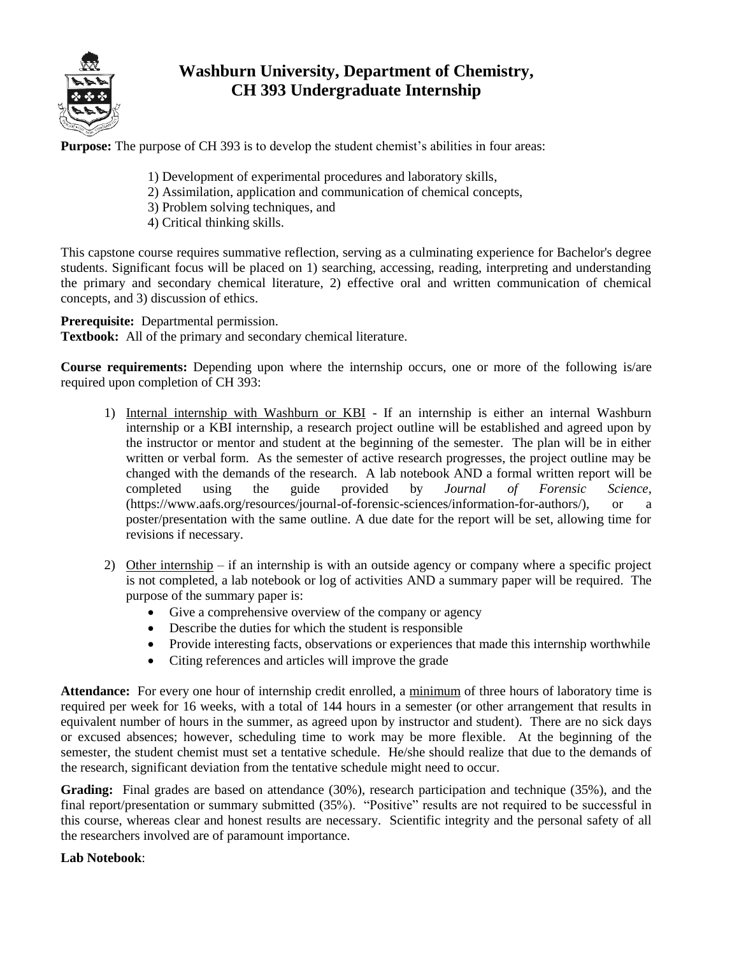

## **Washburn University, Department of Chemistry, CH 393 Undergraduate Internship**

**Purpose:** The purpose of CH 393 is to develop the student chemist's abilities in four areas:

- 1) Development of experimental procedures and laboratory skills,
- 2) Assimilation, application and communication of chemical concepts,
- 3) Problem solving techniques, and
- 4) Critical thinking skills.

This capstone course requires summative reflection, serving as a culminating experience for Bachelor's degree students. Significant focus will be placed on 1) searching, accessing, reading, interpreting and understanding the primary and secondary chemical literature, 2) effective oral and written communication of chemical concepts, and 3) discussion of ethics.

**Prerequisite:** Departmental permission.

**Textbook:** All of the primary and secondary chemical literature.

**Course requirements:** Depending upon where the internship occurs, one or more of the following is/are required upon completion of CH 393:

- 1) Internal internship with Washburn or KBI If an internship is either an internal Washburn internship or a KBI internship, a research project outline will be established and agreed upon by the instructor or mentor and student at the beginning of the semester. The plan will be in either written or verbal form. As the semester of active research progresses, the project outline may be changed with the demands of the research. A lab notebook AND a formal written report will be completed using the guide provided by *Journal of Forensic Science*, (https://www.aafs.org/resources/journal-of-forensic-sciences/information-for-authors/), or a poster/presentation with the same outline. A due date for the report will be set, allowing time for revisions if necessary.
- 2) Other internship if an internship is with an outside agency or company where a specific project is not completed, a lab notebook or log of activities AND a summary paper will be required. The purpose of the summary paper is:
	- Give a comprehensive overview of the company or agency
	- Describe the duties for which the student is responsible
	- Provide interesting facts, observations or experiences that made this internship worthwhile
	- Citing references and articles will improve the grade

**Attendance:** For every one hour of internship credit enrolled, a minimum of three hours of laboratory time is required per week for 16 weeks, with a total of 144 hours in a semester (or other arrangement that results in equivalent number of hours in the summer, as agreed upon by instructor and student). There are no sick days or excused absences; however, scheduling time to work may be more flexible. At the beginning of the semester, the student chemist must set a tentative schedule. He/she should realize that due to the demands of the research, significant deviation from the tentative schedule might need to occur.

Grading: Final grades are based on attendance (30%), research participation and technique (35%), and the final report/presentation or summary submitted (35%). "Positive" results are not required to be successful in this course, whereas clear and honest results are necessary. Scientific integrity and the personal safety of all the researchers involved are of paramount importance.

## **Lab Notebook**: